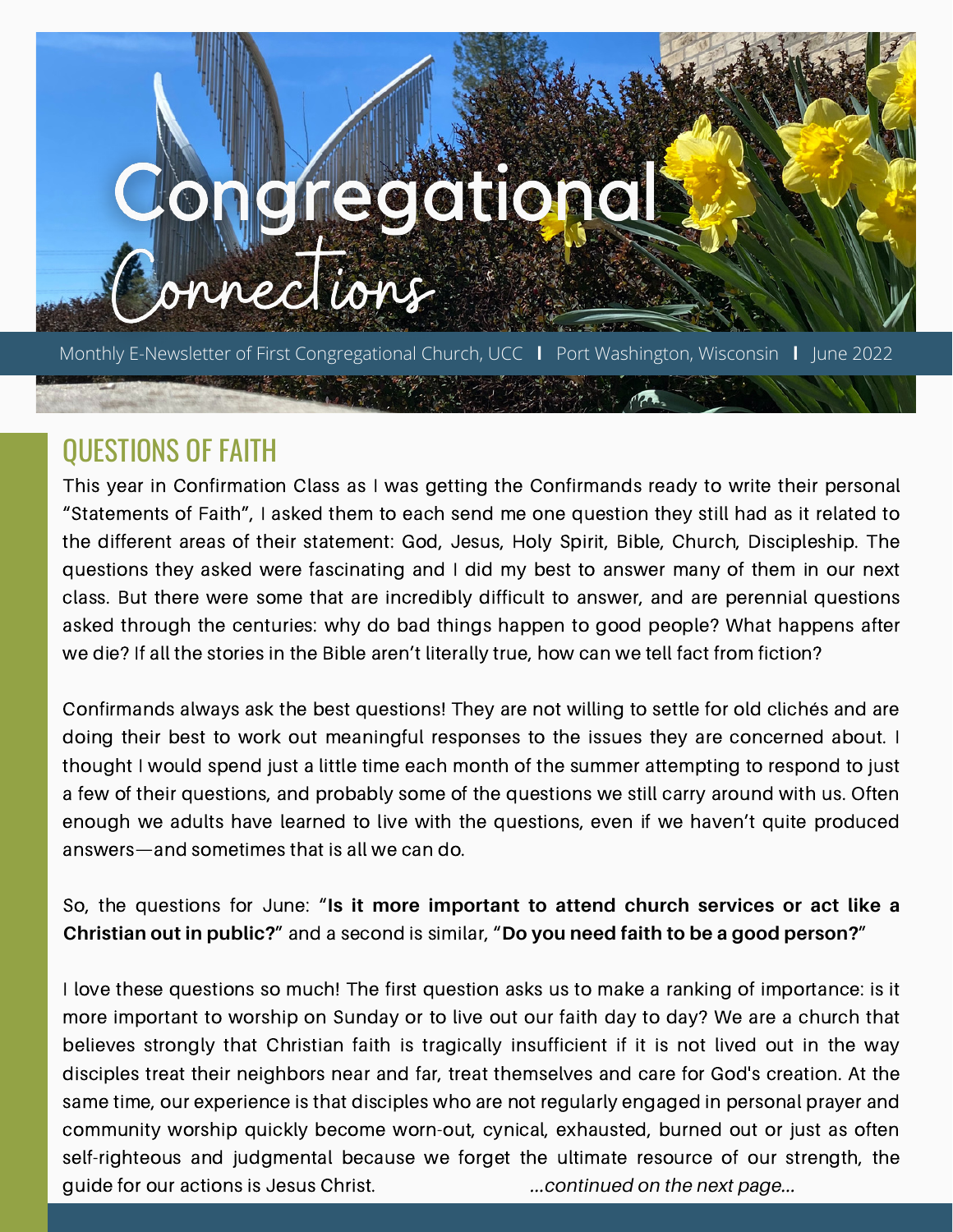# onoregationa

Monthly E-Newsletter of First Congregational Church, UCC **l** Port Washington, Wisconsin **l** June 2022

# QUESTIONS OF FAITH

This year in Confirmation Class as I was getting the Confirmands ready to write their personal "Statements of Faith", I asked them to each send me one question they still had as it related to the different areas of their statement: God, Jesus, Holy Spirit, Bible, Church, Discipleship. The questions they asked were fascinating and I did my best to answer many of them in our next class. But there were some that are incredibly difficult to answer, and are perennial questions asked through the centuries: why do bad things happen to good people? What happens after we die? If all the stories in the Bible aren't literally true, how can we tell fact from fiction?

Confirmands always ask the best questions! They are not willing to settle for old clichés and are doing their best to work out meaningful responses to the issues they are concerned about. I thought I would spend just a little time each month of the summer attempting to respond to just a few of their questions, and probably some of the questions we still carry around with us. Often enough we adults have learned to live with the questions, even if we haven't quite produced answers—and sometimes that is all we can do.

So, the questions for June: "**Is it more important to attend church services or act like a Christian out in public?**" and a second is similar, "**Do you need faith to be a good person?**"

I love these questions so much! The first question asks us to make a ranking of importance: is it more important to worship on Sunday or to live out our faith day to day? We are a church that believes strongly that Christian faith is tragically insufficient if it is not lived out in the way disciples treat their neighbors near and far, treat themselves and care for God's creation. At the same time, our experience is that disciples who are not regularly engaged in personal prayer and community worship quickly become worn-out, cynical, exhausted, burned out or just as often self-righteous and judgmental because we forget the ultimate resource of our strength, the guide for our actions is Jesus Christ. *...continued on the next page...*